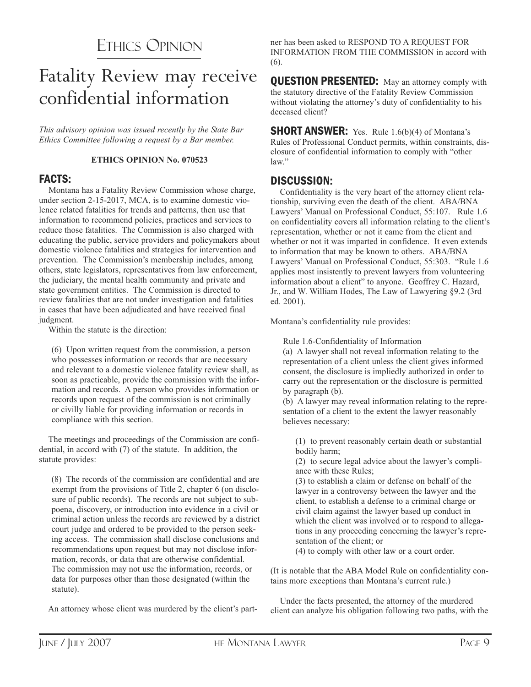# ETHICS OPINION

# Fatality Review may receive confidential information

*This advisory opinion was issued recently by the State Bar Ethics Committee following a request by a Bar member.*

#### **ETHICS OPINION No. 070523**

### FACTS:

Montana has a Fatality Review Commission whose charge, under section 2-15-2017, MCA, is to examine domestic violence related fatalities for trends and patterns, then use that information to recommend policies, practices and services to reduce those fatalities. The Commission is also charged with educating the public, service providers and policymakers about domestic violence fatalities and strategies for intervention and prevention. The Commission's membership includes, among others, state legislators, representatives from law enforcement, the judiciary, the mental health community and private and state government entities. The Commission is directed to review fatalities that are not under investigation and fatalities in cases that have been adjudicated and have received final judgment.

Within the statute is the direction:

(6) Upon written request from the commission, a person who possesses information or records that are necessary and relevant to a domestic violence fatality review shall, as soon as practicable, provide the commission with the information and records. A person who provides information or records upon request of the commission is not criminally or civilly liable for providing information or records in compliance with this section.

The meetings and proceedings of the Commission are confidential, in accord with (7) of the statute. In addition, the statute provides:

(8) The records of the commission are confidential and are exempt from the provisions of Title 2, chapter 6 (on disclosure of public records). The records are not subject to subpoena, discovery, or introduction into evidence in a civil or criminal action unless the records are reviewed by a district court judge and ordered to be provided to the person seeking access. The commission shall disclose conclusions and recommendations upon request but may not disclose information, records, or data that are otherwise confidential. The commission may not use the information, records, or data for purposes other than those designated (within the statute).

An attorney whose client was murdered by the client's part-

ner has been asked to RESPOND TO A REQUEST FOR INFORMATION FROM THE COMMISSION in accord with (6).

**QUESTION PRESENTED:** May an attorney comply with the statutory directive of the Fatality Review Commission without violating the attorney's duty of confidentiality to his deceased client?

**SHORT ANSWER:** Yes. Rule 1.6(b)(4) of Montana's Rules of Professional Conduct permits, within constraints, disclosure of confidential information to comply with "other law."

## DISCUSSION:

Confidentiality is the very heart of the attorney client relationship, surviving even the death of the client. ABA/BNA Lawyers' Manual on Professional Conduct, 55:107. Rule 1.6 on confidentiality covers all information relating to the client's representation, whether or not it came from the client and whether or not it was imparted in confidence. It even extends to information that may be known to others. ABA/BNA Lawyers' Manual on Professional Conduct, 55:303. "Rule 1.6 applies most insistently to prevent lawyers from volunteering information about a client" to anyone. Geoffrey C. Hazard, Jr., and W. William Hodes, The Law of Lawyering §9.2 (3rd ed. 2001).

Montana's confidentiality rule provides:

Rule 1.6-Confidentiality of Information

(a) A lawyer shall not reveal information relating to the representation of a client unless the client gives informed consent, the disclosure is impliedly authorized in order to carry out the representation or the disclosure is permitted by paragraph (b).

(b) A lawyer may reveal information relating to the representation of a client to the extent the lawyer reasonably believes necessary:

(1) to prevent reasonably certain death or substantial bodily harm;

(2) to secure legal advice about the lawyer's compliance with these Rules;

(3) to establish a claim or defense on behalf of the lawyer in a controversy between the lawyer and the client, to establish a defense to a criminal charge or civil claim against the lawyer based up conduct in which the client was involved or to respond to allegations in any proceeding concerning the lawyer's representation of the client; or

(4) to comply with other law or a court order.

(It is notable that the ABA Model Rule on confidentiality contains more exceptions than Montana's current rule.)

Under the facts presented, the attorney of the murdered client can analyze his obligation following two paths, with the